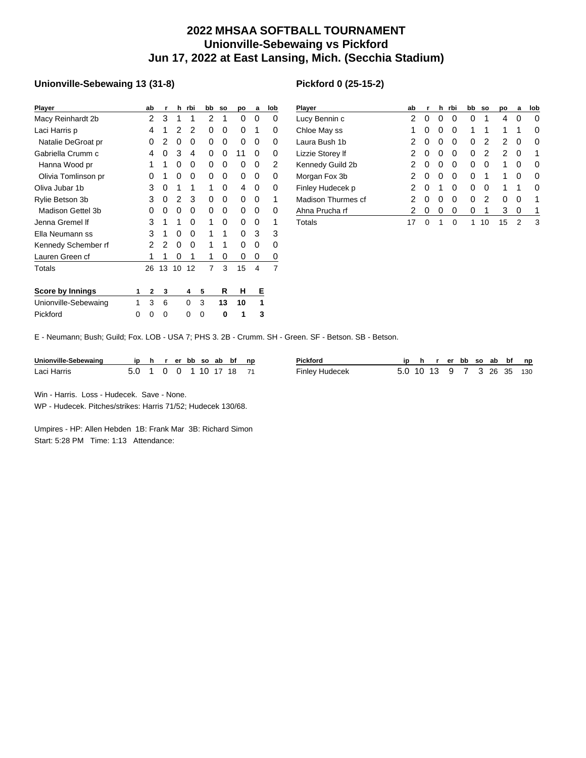## **2022 MHSAA SOFTBALL TOURNAMENT Unionville-Sebewaing vs Pickford Jun 17, 2022 at East Lansing, Mich. (Secchia Stadium)**

## **Unionville-Sebewaing 13 (31-8)**

| Player                  |   | ab | r  | h              | rbi | bb             | <b>SO</b> | po | a | lob |
|-------------------------|---|----|----|----------------|-----|----------------|-----------|----|---|-----|
| Macy Reinhardt 2b       |   | 2  | 3  | 1              | 1   | 2              | 1         | 0  | 0 | 0   |
| Laci Harris p           |   | 4  | 1  | 2              | 2   | 0              | 0         | 0  | 1 | 0   |
| Natalie DeGroat pr      |   | 0  | 2  | 0              | 0   | 0              | 0         | 0  | 0 | 0   |
| Gabriella Crumm c       |   | 4  | 0  | 3              | 4   | 0              | 0         | 11 | 0 | 0   |
| Hanna Wood pr           |   | 1  | 1  | 0              | 0   | 0              | 0         | 0  | 0 | 2   |
| Olivia Tomlinson pr     |   | 0  | 1  | 0              | 0   | 0              | 0         | 0  | 0 | 0   |
| Oliva Jubar 1b          |   | 3  | 0  | 1              | 1   | 1              | 0         | 4  | 0 | 0   |
| Rylie Betson 3b         |   | 3  | 0  | $\overline{c}$ | 3   | 0              | 0         | 0  | 0 | 1   |
| Madison Gettel 3b       |   | 0  | 0  | 0              | 0   | 0              | 0         | 0  | 0 | 0   |
| Jenna Gremel If         |   | 3  | 1  | 1              | O   | 1              | 0         | 0  | 0 | 1   |
| Ella Neumann ss         |   | 3  | 1  | 0              | 0   | 1              | 1         | 0  | 3 | 3   |
| Kennedy Schember rf     |   | 2  | 2  | 0              | 0   | 1              | 1         | 0  | 0 | 0   |
| Lauren Green cf         |   | 1  | 1  | 0              | 1   | 1              | 0         | 0  | 0 | 0   |
| Totals                  |   | 26 | 13 | 10             | 12  | $\overline{7}$ | 3         | 15 | 4 | 7   |
| <b>Score by Innings</b> | 1 | 2  | 3  |                | 4   | 5              | R         | н  | Е |     |
| Unionville-Sebewaing    | 1 | 3  | 6  |                | 0   | 3              | 13        | 10 | 1 |     |
| Pickford                | 0 | 0  | 0  |                | 0   | 0              | 0         | 1  | 3 |     |

| <b>Player</b>      | ab | r        | h        | rbi | bb | <b>SO</b> | po | a | lob |
|--------------------|----|----------|----------|-----|----|-----------|----|---|-----|
| Lucy Bennin c      | 2  | $\Omega$ | $\Omega$ | Ω   | 0  | 1         | 4  | 0 | 0   |
| Chloe May ss       | 1  | 0        | 0        | Ω   | 1  | 1         | 1  | 1 | 0   |
| Laura Bush 1b      | 2  | 0        | 0        | 0   | 0  | 2         | 2  | 0 | 0   |
| Lizzie Storey If   | 2  | 0        | 0        | Ω   | 0  | 2         | 2  | 0 | 1   |
| Kennedy Guild 2b   | 2  | 0        | 0        | 0   | 0  | 0         | 1  | 0 | O   |
| Morgan Fox 3b      | 2  | 0        | 0        | 0   | 0  | 1         | 1  | 0 | 0   |
| Finley Hudecek p   | 2  | 0        | 1        | 0   | 0  | 0         | 1  | 1 | 0   |
| Madison Thurmes cf | 2  | 0        | 0        | 0   | 0  | 2         | 0  | 0 | 1   |
| Ahna Prucha rf     | 2  | 0        | 0        | 0   | 0  | 1         | 3  | 0 | 1   |
| Totals             | 17 | ∩        | 1        | O   |    | 10        | 15 | 2 | 3   |

E - Neumann; Bush; Guild; Fox. LOB - USA 7; PHS 3. 2B - Crumm. SH - Green. SF - Betson. SB - Betson.

| Unionville-Sebewaing |       |  |                   |  | ip hrerbbsoabbfnp | Pickford       |                           | n |  | r er bb so ab bf |  | np |
|----------------------|-------|--|-------------------|--|-------------------|----------------|---------------------------|---|--|------------------|--|----|
| Laci Harris          | 5.0 1 |  | 0 0 1 1 0 1 7 1 8 |  |                   | Finley Hudecek | 5.0 10 13 9 7 3 26 35 130 |   |  |                  |  |    |

Win - Harris. Loss - Hudecek. Save - None.

WP - Hudecek. Pitches/strikes: Harris 71/52; Hudecek 130/68.

Umpires - HP: Allen Hebden 1B: Frank Mar 3B: Richard Simon Start: 5:28 PM Time: 1:13 Attendance: